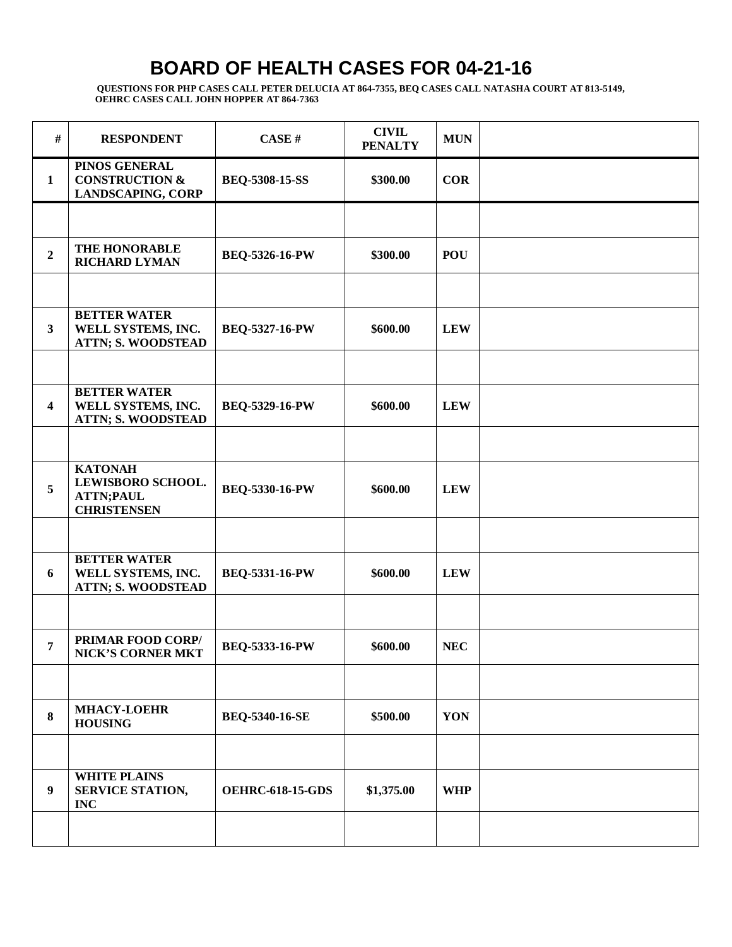| $\#$           | <b>RESPONDENT</b>                                                             | CASE#                   | <b>CIVIL</b><br><b>PENALTY</b> | <b>MUN</b> |  |
|----------------|-------------------------------------------------------------------------------|-------------------------|--------------------------------|------------|--|
| 1              | PINOS GENERAL<br><b>CONSTRUCTION &amp;</b><br><b>LANDSCAPING, CORP</b>        | <b>BEQ-5308-15-SS</b>   | \$300.00                       | <b>COR</b> |  |
|                |                                                                               |                         |                                |            |  |
| $\overline{2}$ | THE HONORABLE<br><b>RICHARD LYMAN</b>                                         | <b>BEQ-5326-16-PW</b>   | \$300.00                       | <b>POU</b> |  |
|                |                                                                               |                         |                                |            |  |
| $\mathbf{3}$   | <b>BETTER WATER</b><br>WELL SYSTEMS, INC.<br><b>ATTN; S. WOODSTEAD</b>        | <b>BEQ-5327-16-PW</b>   | \$600.00                       | <b>LEW</b> |  |
|                |                                                                               |                         |                                |            |  |
| 4              | <b>BETTER WATER</b><br>WELL SYSTEMS, INC.<br><b>ATTN; S. WOODSTEAD</b>        | <b>BEQ-5329-16-PW</b>   | \$600.00                       | <b>LEW</b> |  |
|                |                                                                               |                         |                                |            |  |
| 5              | <b>KATONAH</b><br>LEWISBORO SCHOOL.<br><b>ATTN;PAUL</b><br><b>CHRISTENSEN</b> | BEQ-5330-16-PW          | \$600.00                       | <b>LEW</b> |  |
|                |                                                                               |                         |                                |            |  |
| 6              | <b>BETTER WATER</b><br>WELL SYSTEMS, INC.<br><b>ATTN; S. WOODSTEAD</b>        | BEQ-5331-16-PW          | \$600.00                       | <b>LEW</b> |  |
|                |                                                                               |                         |                                |            |  |
| 7              | PRIMAR FOOD CORP/<br><b>NICK'S CORNER MKT</b>                                 | <b>BEQ-5333-16-PW</b>   | \$600.00                       | <b>NEC</b> |  |
|                |                                                                               |                         |                                |            |  |
| 8              | <b>MHACY-LOEHR</b><br><b>HOUSING</b>                                          | <b>BEQ-5340-16-SE</b>   | \$500.00                       | YON        |  |
|                |                                                                               |                         |                                |            |  |
| 9              | <b>WHITE PLAINS</b><br>SERVICE STATION,<br><b>INC</b>                         | <b>OEHRC-618-15-GDS</b> | \$1,375.00                     | <b>WHP</b> |  |
|                |                                                                               |                         |                                |            |  |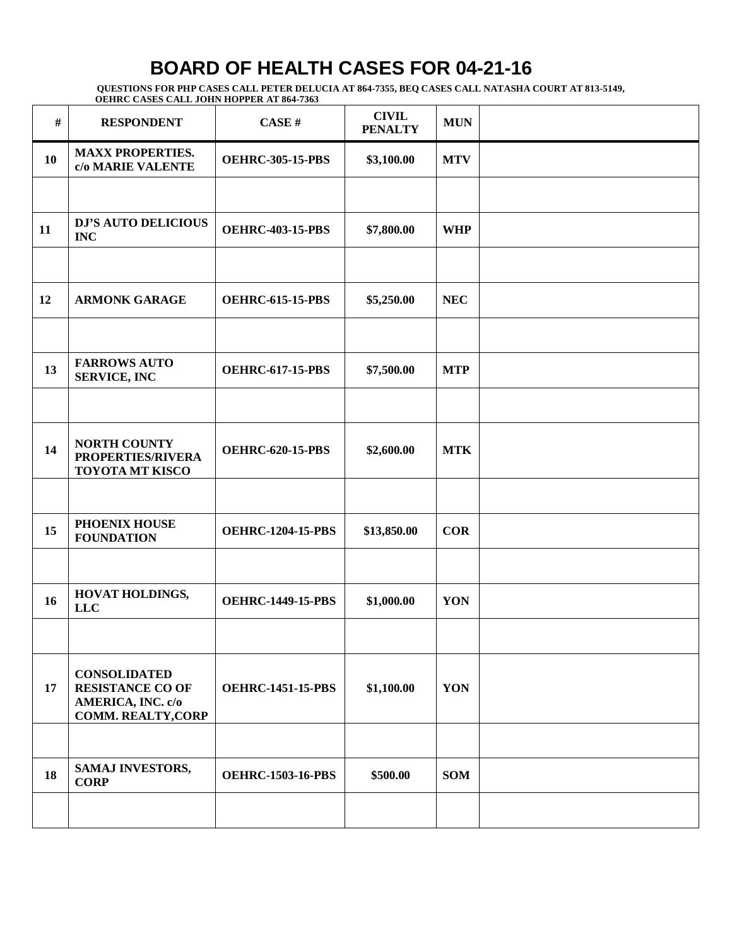| $\#$ | <b>RESPONDENT</b>                                                                                | CASE#                    | <b>CIVIL</b><br><b>PENALTY</b> | <b>MUN</b> |  |
|------|--------------------------------------------------------------------------------------------------|--------------------------|--------------------------------|------------|--|
| 10   | <b>MAXX PROPERTIES.</b><br>c/o MARIE VALENTE                                                     | <b>OEHRC-305-15-PBS</b>  | \$3,100.00                     | <b>MTV</b> |  |
|      |                                                                                                  |                          |                                |            |  |
| 11   | <b>DJ'S AUTO DELICIOUS</b><br><b>INC</b>                                                         | <b>OEHRC-403-15-PBS</b>  | \$7,800.00                     | <b>WHP</b> |  |
|      |                                                                                                  |                          |                                |            |  |
| 12   | <b>ARMONK GARAGE</b>                                                                             | <b>OEHRC-615-15-PBS</b>  | \$5,250.00                     | <b>NEC</b> |  |
|      |                                                                                                  |                          |                                |            |  |
| 13   | <b>FARROWS AUTO</b><br><b>SERVICE, INC</b>                                                       | <b>OEHRC-617-15-PBS</b>  | \$7,500.00                     | <b>MTP</b> |  |
|      |                                                                                                  |                          |                                |            |  |
| 14   | <b>NORTH COUNTY</b><br>PROPERTIES/RIVERA<br><b>TOYOTA MT KISCO</b>                               | <b>OEHRC-620-15-PBS</b>  | \$2,600.00                     | <b>MTK</b> |  |
|      |                                                                                                  |                          |                                |            |  |
| 15   | PHOENIX HOUSE<br><b>FOUNDATION</b>                                                               | <b>OEHRC-1204-15-PBS</b> | \$13,850.00                    | <b>COR</b> |  |
|      |                                                                                                  |                          |                                |            |  |
| 16   | HOVAT HOLDINGS,<br>LLC                                                                           | <b>OEHRC-1449-15-PBS</b> | \$1,000.00                     | YON        |  |
|      |                                                                                                  |                          |                                |            |  |
| 17   | <b>CONSOLIDATED</b><br><b>RESISTANCE CO OF</b><br>AMERICA, INC. c/o<br><b>COMM. REALTY, CORP</b> | <b>OEHRC-1451-15-PBS</b> | \$1,100.00                     | YON        |  |
|      |                                                                                                  |                          |                                |            |  |
| 18   | SAMAJ INVESTORS,<br><b>CORP</b>                                                                  | <b>OEHRC-1503-16-PBS</b> | \$500.00                       | <b>SOM</b> |  |
|      |                                                                                                  |                          |                                |            |  |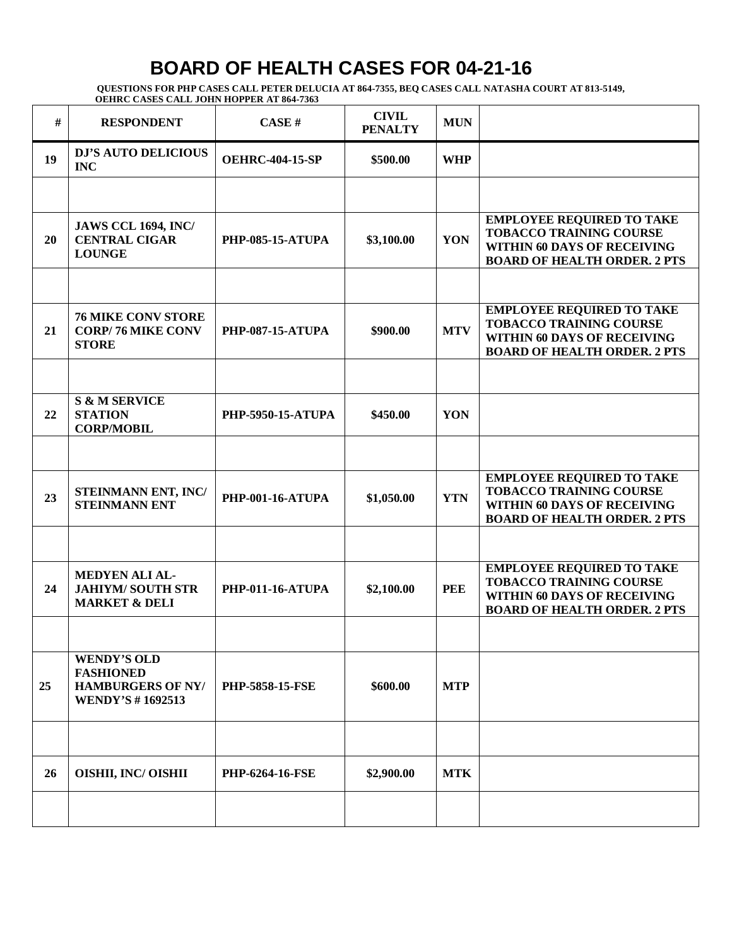| #  | <b>RESPONDENT</b>                                                                             | CASE#                    | <b>CIVIL</b><br><b>PENALTY</b> | <b>MUN</b> |                                                                                                                                          |
|----|-----------------------------------------------------------------------------------------------|--------------------------|--------------------------------|------------|------------------------------------------------------------------------------------------------------------------------------------------|
| 19 | <b>DJ'S AUTO DELICIOUS</b><br><b>INC</b>                                                      | <b>OEHRC-404-15-SP</b>   | \$500.00                       | <b>WHP</b> |                                                                                                                                          |
|    |                                                                                               |                          |                                |            |                                                                                                                                          |
| 20 | <b>JAWS CCL 1694, INC/</b><br><b>CENTRAL CIGAR</b><br><b>LOUNGE</b>                           | <b>PHP-085-15-ATUPA</b>  | \$3,100.00                     | YON        | <b>EMPLOYEE REQUIRED TO TAKE</b><br><b>TOBACCO TRAINING COURSE</b><br>WITHIN 60 DAYS OF RECEIVING<br><b>BOARD OF HEALTH ORDER. 2 PTS</b> |
|    |                                                                                               |                          |                                |            |                                                                                                                                          |
| 21 | <b>76 MIKE CONV STORE</b><br><b>CORP/76 MIKE CONV</b><br><b>STORE</b>                         | <b>PHP-087-15-ATUPA</b>  | \$900.00                       | <b>MTV</b> | <b>EMPLOYEE REQUIRED TO TAKE</b><br><b>TOBACCO TRAINING COURSE</b><br>WITHIN 60 DAYS OF RECEIVING<br><b>BOARD OF HEALTH ORDER. 2 PTS</b> |
|    |                                                                                               |                          |                                |            |                                                                                                                                          |
| 22 | <b>S &amp; M SERVICE</b><br><b>STATION</b><br><b>CORP/MOBIL</b>                               | <b>PHP-5950-15-ATUPA</b> | \$450.00                       | YON        |                                                                                                                                          |
|    |                                                                                               |                          |                                |            |                                                                                                                                          |
| 23 | STEINMANN ENT, INC/<br><b>STEINMANN ENT</b>                                                   | <b>PHP-001-16-ATUPA</b>  | \$1,050.00                     | <b>YTN</b> | <b>EMPLOYEE REQUIRED TO TAKE</b><br><b>TOBACCO TRAINING COURSE</b><br>WITHIN 60 DAYS OF RECEIVING<br><b>BOARD OF HEALTH ORDER. 2 PTS</b> |
|    |                                                                                               |                          |                                |            |                                                                                                                                          |
| 24 | <b>MEDYEN ALI AL-</b><br><b>JAHIYM/SOUTH STR</b><br><b>MARKET &amp; DELI</b>                  | <b>PHP-011-16-ATUPA</b>  | \$2,100.00                     | <b>PEE</b> | <b>EMPLOYEE REQUIRED TO TAKE</b><br><b>TOBACCO TRAINING COURSE</b><br>WITHIN 60 DAYS OF RECEIVING<br><b>BOARD OF HEALTH ORDER. 2 PTS</b> |
|    |                                                                                               |                          |                                |            |                                                                                                                                          |
| 25 | <b>WENDY'S OLD</b><br><b>FASHIONED</b><br><b>HAMBURGERS OF NY/</b><br><b>WENDY'S #1692513</b> | <b>PHP-5858-15-FSE</b>   | \$600.00                       | <b>MTP</b> |                                                                                                                                          |
|    |                                                                                               |                          |                                |            |                                                                                                                                          |
| 26 | <b>OISHII, INC/ OISHII</b>                                                                    | <b>PHP-6264-16-FSE</b>   | \$2,900.00                     | <b>MTK</b> |                                                                                                                                          |
|    |                                                                                               |                          |                                |            |                                                                                                                                          |